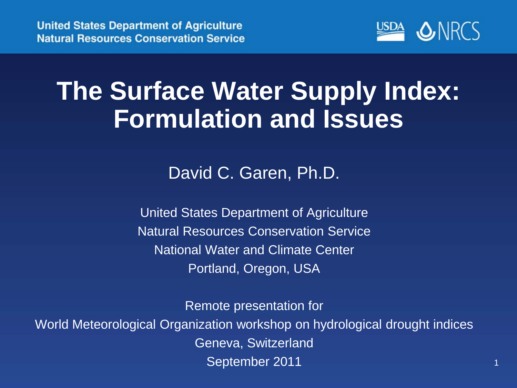

#### **The Surface Water Supply Index: Formulation and Issues**

David C. Garen, Ph.D.

United States Department of Agriculture Natural Resources Conservation Service National Water and Climate Center Portland, Oregon, USA

Remote presentation for

World Meteorological Organization workshop on hydrological drought indices Geneva, Switzerland September 2011 11 12 12 13 14 15 16 17 17 18 17 18 17 18 17 18 17 18 17 18 17 18 17 18 17 18 17 18 17 18 17 18 1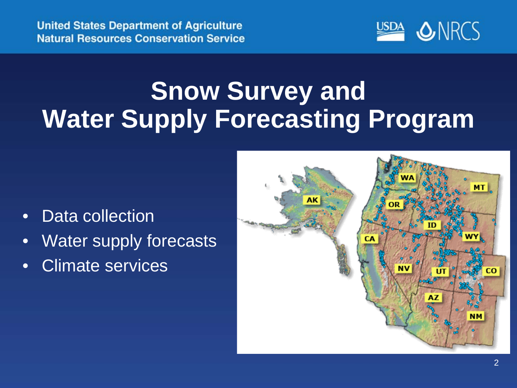

## **Snow Survey and Water Supply Forecasting Program**

- Data collection
- Water supply forecasts
- Climate services

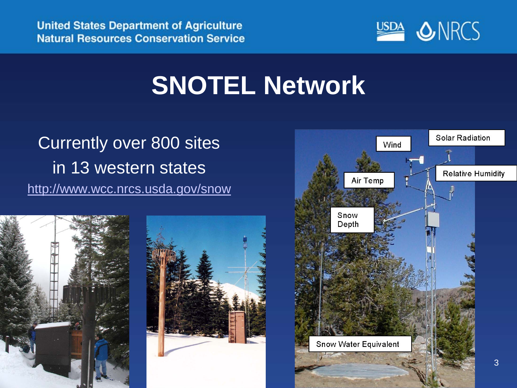

#### **SNOTEL Network**

#### Currently over 800 sites in 13 western states <http://www.wcc.nrcs.usda.gov/snow>



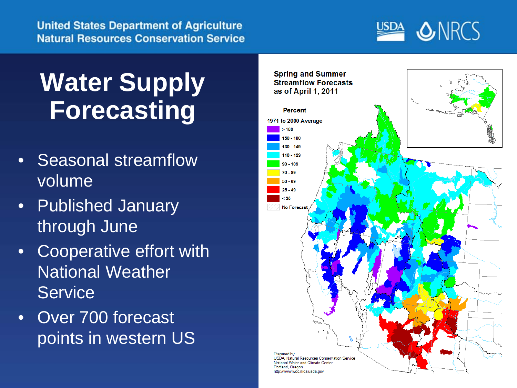**United States Department of Agriculture Natural Resources Conservation Service** 



## **Water Supply Forecasting**

- Seasonal streamflow volume
- Published January through June
- Cooperative effort with National Weather **Service**
- Over 700 forecast points in western US

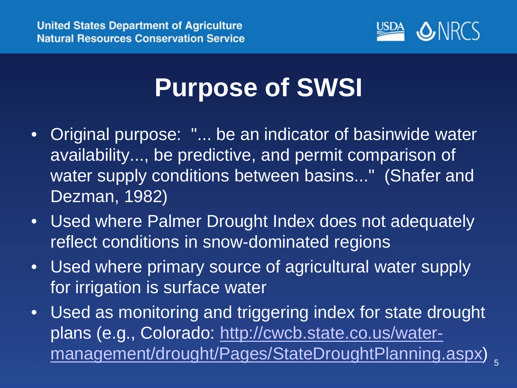

#### **Purpose of SWSI**

- Original purpose: "... be an indicator of basinwide water availability..., be predictive, and permit comparison of water supply conditions between basins..." (Shafer and Dezman, 1982)
- Used where Palmer Drought Index does not adequately reflect conditions in snow-dominated regions
- Used where primary source of agricultural water supply for irrigation is surface water
- Used as monitoring and triggering index for state drought plans (e.g., Colorado: [http://cwcb.state.co.us/water](http://cwcb.state.co.us/water-management/drought/Pages/StateDroughtPlanning.aspx)[management/drought/Pages/StateDroughtPlanning.aspx\)](http://cwcb.state.co.us/water-management/drought/Pages/StateDroughtPlanning.aspx)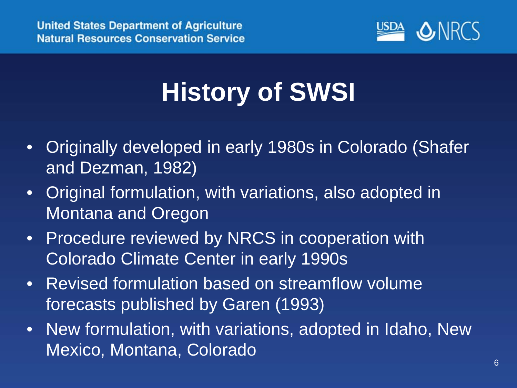

# **History of SWSI**

- Originally developed in early 1980s in Colorado (Shafer and Dezman, 1982)
- Original formulation, with variations, also adopted in Montana and Oregon
- Procedure reviewed by NRCS in cooperation with Colorado Climate Center in early 1990s
- Revised formulation based on streamflow volume forecasts published by Garen (1993)
- New formulation, with variations, adopted in Idaho, New Mexico, Montana, Colorado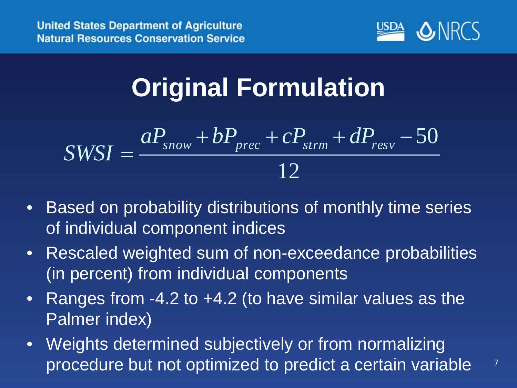

7

## **Original Formulation**

$$
SWSI = \frac{aP_{snow} + bP_{prec} + cP_{strm} + dP_{resv} - 50}{12}
$$

- Based on probability distributions of monthly time series of individual component indices
- Rescaled weighted sum of non-exceedance probabilities (in percent) from individual components
- Ranges from -4.2 to +4.2 (to have similar values as the Palmer index)
- Weights determined subjectively or from normalizing procedure but not optimized to predict a certain variable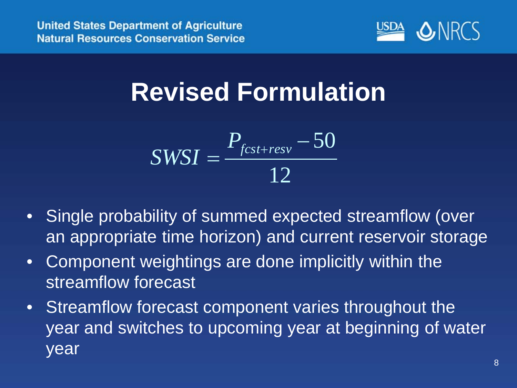

## **Revised Formulation**

$$
SWSI = \frac{P_{\text{fcst+resv}} - 50}{12}
$$

- Single probability of summed expected streamflow (over an appropriate time horizon) and current reservoir storage
- Component weightings are done implicitly within the streamflow forecast
- Streamflow forecast component varies throughout the year and switches to upcoming year at beginning of water year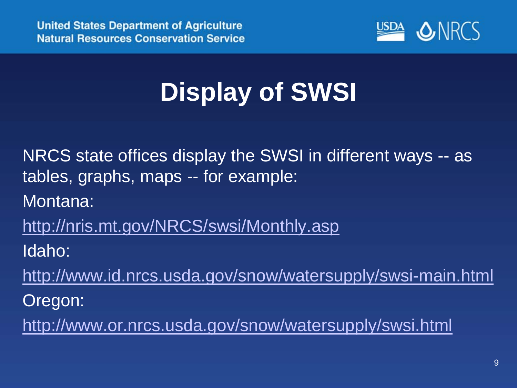

# **Display of SWSI**

NRCS state offices display the SWSI in different ways -- as tables, graphs, maps -- for example:

Montana:

<http://nris.mt.gov/NRCS/swsi/Monthly.asp>

Idaho:

<http://www.id.nrcs.usda.gov/snow/watersupply/swsi-main.html>

Oregon:

<http://www.or.nrcs.usda.gov/snow/watersupply/swsi.html>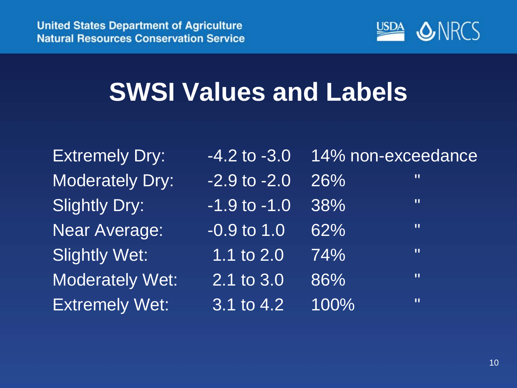

## **SWSI Values and Labels**

| <b>Extremely Dry:</b>  | $-4.2$ to $-3.0$                     |      | 14% non-exceedance |
|------------------------|--------------------------------------|------|--------------------|
| <b>Moderately Dry:</b> | $-2.9$ to $-2.0$                     | 26%  | Ш                  |
| <b>Slightly Dry:</b>   | $-1.9$ to $-1.0$                     | 38%  | Ш                  |
| <b>Near Average:</b>   | $-0.9$ to $1.0$                      | 62%  | Ш                  |
| <b>Slightly Wet:</b>   | 1.1 to 2.0                           | 74%  | $\mathbf{u}$       |
| <b>Moderately Wet:</b> | $\overline{2.1}$ to $\overline{3.0}$ | 86%  | $\mathbf{H}$       |
| <b>Extremely Wet:</b>  | 3.1 to 4.2                           | 100% | $\mathbf{H}$       |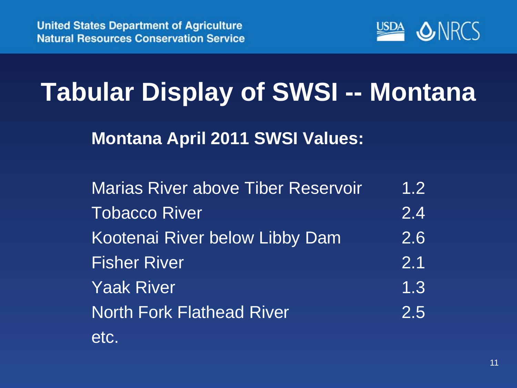

## **Tabular Display of SWSI -- Montana**

**Montana April 2011 SWSI Values:**

| <b>Marias River above Tiber Reservoir</b> | 1.2 |
|-------------------------------------------|-----|
| <b>Tobacco River</b>                      | 2.4 |
| Kootenai River below Libby Dam            | 2.6 |
| <b>Fisher River</b>                       | 2.1 |
| <b>Yaak River</b>                         | 1.3 |
| <b>North Fork Flathead River</b>          | 2.5 |
| etc.                                      |     |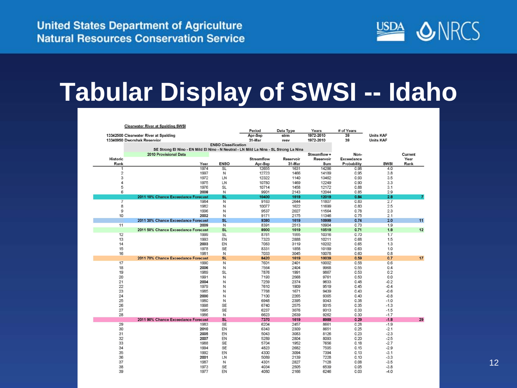

### **Tabular Display of SWSI -- Idaho**

|                 | <b>Clearwater River at Spalding SWSI</b>                                              |                            | Period       | Data Type    | Years          | # of Years   |                  |              |
|-----------------|---------------------------------------------------------------------------------------|----------------------------|--------------|--------------|----------------|--------------|------------------|--------------|
|                 | 13342500 Clearwater River at Spalding                                                 |                            | Apr-Sep      | strm         | 1972-2010      | 39           | <b>Units KAF</b> |              |
|                 | 13340950 Dworshak Reservior                                                           | <b>ENSO Classification</b> | 31-Mar       | resv         | 1972-2010      | 39           | <b>Units KAF</b> |              |
|                 | SE Strong El Nino - EN Mild El Nino - N Neutral - LN Mild La Nina - SL Strong La Nina |                            |              |              |                |              |                  |              |
|                 | 2010 Provisional Data                                                                 |                            |              |              | Streamflow +   | Non-         |                  | Current      |
| <b>Historic</b> |                                                                                       |                            | Streamflow   | Reservoir    | Reservoir      | Exceedance   |                  | Year         |
| Rank            | Year                                                                                  | <b>ENSO</b>                | Apr-Sep      | 31-Mar       | Sum            | Probability  | SWSI             | Rank         |
|                 | 1974                                                                                  | <b>SL</b>                  | 12655        | 1631         | 14286          | 0.98         | 4.0              |              |
|                 | 2<br>1997                                                                             | N                          | 12723        | 1466         | 14189          | 0.95         | 3.8              |              |
|                 | 3<br>1972                                                                             | LN                         | 12322        | 1140         | 13462          | 0.93         | 3.5              |              |
|                 | 4<br>1975                                                                             | LN                         | 10780        | 1469         | 12249          | 0.90         | 3.3              |              |
|                 | 5<br>1976                                                                             | <b>SL</b>                  | 10714        | 1458         | 12172          | 0.88         | 3.1              |              |
|                 | 6<br>2008                                                                             | N                          | 9901         | 2143         | 12044          | 0.85         | 2.9              |              |
|                 | 2011 10% Chance Exceedance Forecast                                                   | <b>SL</b>                  | 10400        | 1619         | 12019          | 0.84         | 2.8              | $\mathbf{z}$ |
|                 | $\overline{7}$<br>1984                                                                | $\overline{N}$             | 9163         | 2644         | 11807          | 0.83         | 2.7              |              |
|                 | 8<br>1982                                                                             | Ν                          | 10077        | 1622         | 11699          | 0.80         | 2.5              |              |
|                 | 9<br>1996                                                                             | Ν                          | 9537         | 2027         | 11564          | 0.78         | 2.3              |              |
| 10              | 2002<br>2011 30% Chance Exceedance Forecast                                           | Ν<br><b>SL</b>             | 9171<br>9380 | 2175<br>1619 | 11346<br>10999 | 0.75<br>0.74 | 2.1<br>2.0       |              |
| 11              | 2009                                                                                  | $\overline{N}$             | 8391         | 2513         | 10904          | 0.73         | 1.9              | 11           |
|                 | 2011 50% Chance Exceedance Forecast                                                   | <b>SL</b>                  | 8900         | 1619         | 10519          | 0.71         | 1.8              | 12           |
| 12              | 1999                                                                                  | <b>SL</b>                  | 8761         | 1555         | 10316          | 0.70         | 1.7              |              |
| 13              | 1993                                                                                  | EN                         | 7323         | 2888         | 10211          | 0.68         | 1.5              |              |
| 14              | 2003                                                                                  | EN                         | 7083         | 3119         | 10202          | 0.65         | 1.3              |              |
| 15              | 1978                                                                                  | <b>SE</b>                  | 8331         | 1858         | 10189          | 0.63         | 1.0              |              |
| 16              | 1981                                                                                  | N                          | 7033         | 3045         | 10078          | 0.60         | 0.8              |              |
|                 | 2011 70% Chance Exceedance Forecast                                                   | <b>SL</b>                  | 8420         | 1619         | 10039          | 0.59         | 0.7              | 17           |
| 17              | 1990                                                                                  | N                          | 7601         | 2401         | 10002          | 0.58         | 0.6              |              |
| 18              | 2006                                                                                  | Ν                          | 7564         | 2404         | 9968           | 0.55         | 0.4              |              |
| 19              | 1989                                                                                  | <b>SL</b>                  | 7876         | 1991         | 9867           | 0.53         | 0.2              |              |
| 20              | 1991                                                                                  | Ν                          | 7193         | 2568         | 9761           | 0.50         | 0.0              |              |
| 21              | 2004                                                                                  | N                          | 7259         | 2374         | 9633           | 0.48         | $-0.2$           |              |
| 22              | 1979                                                                                  | N                          | 7610         | 1909         | 9519           | 0.45         | $-0.4$           |              |
| 23              | 1985                                                                                  | N                          | 7768         | 1671         | 9439           | 0.43         | $-0.6$           |              |
| 24<br>25        | 2000<br>1980                                                                          | N<br>N                     | 7100<br>6948 | 2265         | 9365           | 0.40         | $-0.8$           |              |
| 26              | 1998                                                                                  | <b>SE</b>                  | 6740         | 2395<br>2575 | 9343<br>9315   | 0.38<br>0.35 | $-1.0$<br>$-1.3$ |              |
| 27              | 1995                                                                                  | SE                         | 6237         | 3076         | 9313           | 0.33         | $-1.5$           |              |
| 28              | 1986                                                                                  | N                          | 6623         | 2639         | 9262           | 0.30         | $-1.7$           |              |
|                 | 2011 90% Chance Exceedance Forecast                                                   | <b>SL</b>                  | 7370         | 1619         | 8989           | 0.29         | $-1.8$           | 29           |
| 29              | 1983                                                                                  | SE                         | 6204         | 2457         | 8661           | 0.28         | $-1.9$           |              |
| 30              | 2010                                                                                  | EN                         | 6343         | 2309         | 8651           | 0.25         | $-2.1$           |              |
| 31              | 2005                                                                                  | EN                         | 5043         | 3083         | 8126           | 0.23         | $-2.3$           |              |
| 32              | 2007                                                                                  | EN                         | 5289         | 2804         | 8093           | 0.20         | $-2.5$           |              |
| 33              | 1988                                                                                  | <b>SE</b>                  | 5704         | 1952         | 7656           | 0.18         | $-2.7$           |              |
| 34              | 1994                                                                                  | <b>SE</b>                  | 4823         | 2682         | 7505           | 0.15         | $-2.9$           |              |
| 35              | 1992                                                                                  | EN                         | 4300         | 3094         | 7394           | 0.13         | $-3.1$           |              |
| 36              | 2001                                                                                  | LN                         | 5089         | 2139         | 7228           | 0.10         | $-3.3$           |              |
| 37              | 1987                                                                                  | N                          | 4301         | 2827         | 7128           | 0.08         | $-3.5$           |              |
| 38              | 1973                                                                                  | <b>SE</b>                  | 4034         | 2505         | 6539           | 0.05         | $-3.8$           |              |
| 39              | 1977                                                                                  | EN                         | 4080         | 2166         | 6246           | 0.03         | $-4.0$           |              |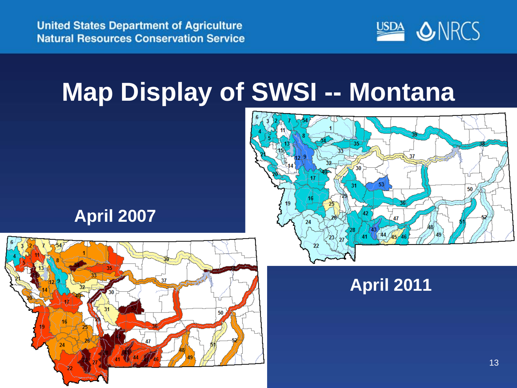

## **Map Display of SWSI -- Montana**



#### **April 2007**



#### **April 2011**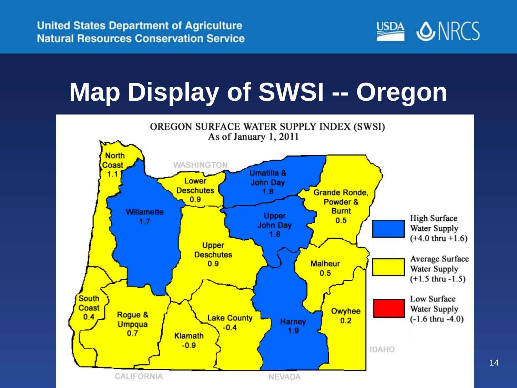

14

## **Map Display of SWSI -- Oregon**

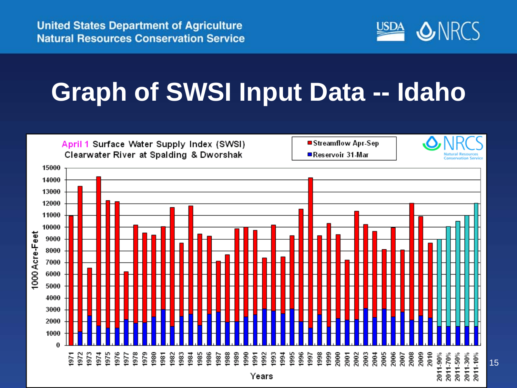

## **Graph of SWSI Input Data -- Idaho**

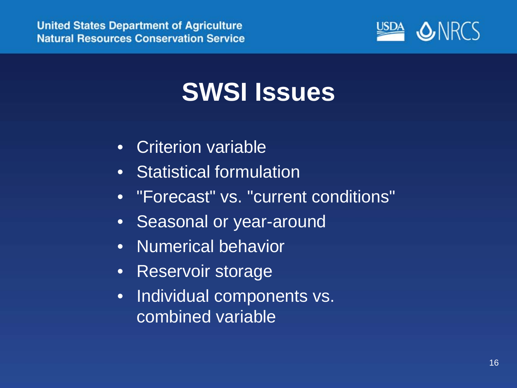

#### **SWSI Issues**

- Criterion variable
- Statistical formulation
- "Forecast" vs. "current conditions"
- Seasonal or year-around
- Numerical behavior
- Reservoir storage
- Individual components vs. combined variable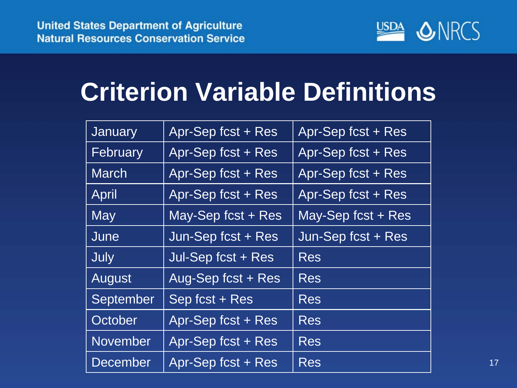

## **Criterion Variable Definitions**

| January         | Apr-Sep fcst + Res   | Apr-Sep fcst + Res   |  |
|-----------------|----------------------|----------------------|--|
| February        | Apr-Sep fcst + Res   | Apr-Sep fcst + Res   |  |
| <b>March</b>    | Apr-Sep fcst + Res   | Apr-Sep fcst + Res   |  |
| April           | Apr-Sep fcst + Res   | Apr-Sep fcst + Res   |  |
| <b>May</b>      | May-Sep fcst $+$ Res | May-Sep fcst $+$ Res |  |
| June            | Jun-Sep fcst + Res   | Jun-Sep fcst + Res   |  |
| July            | Jul-Sep fcst + Res   | <b>Res</b>           |  |
| August          | Aug-Sep fcst + Res   | <b>Res</b>           |  |
| September       | Sep fcst + Res       | <b>Res</b>           |  |
| October         | Apr-Sep fcst + Res   | <b>Res</b>           |  |
| November        | Apr-Sep fcst + Res   | <b>Res</b>           |  |
| <b>December</b> | Apr-Sep fcst + Res   | <b>Res</b>           |  |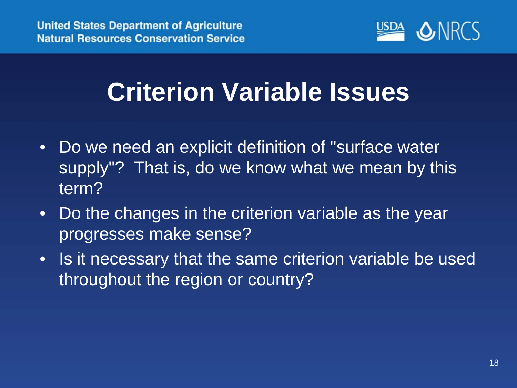

## **Criterion Variable Issues**

- Do we need an explicit definition of "surface water supply"? That is, do we know what we mean by this term?
- Do the changes in the criterion variable as the year progresses make sense?
- Is it necessary that the same criterion variable be used throughout the region or country?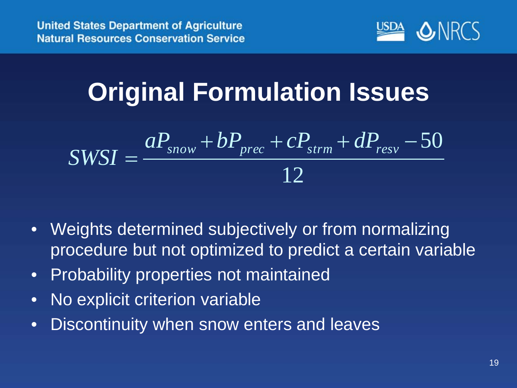

## **Original Formulation Issues**

$$
SWSI = \frac{aP_{snow} + bP_{prec} + cP_{strm} + dP_{resv} - 50}{12}
$$

- Weights determined subjectively or from normalizing procedure but not optimized to predict a certain variable
- Probability properties not maintained
- No explicit criterion variable
- Discontinuity when snow enters and leaves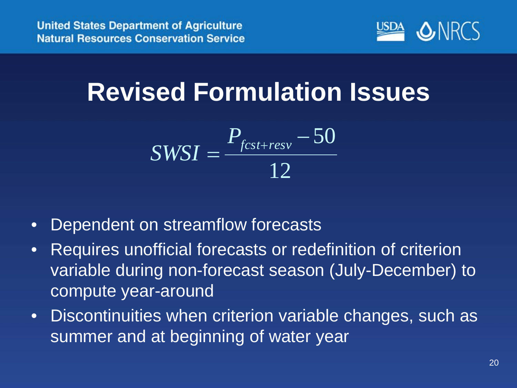

#### **Revised Formulation Issues**

$$
SWSI = \frac{P_{fcst+resv} - 50}{12}
$$

- Dependent on streamflow forecasts
- Requires unofficial forecasts or redefinition of criterion variable during non-forecast season (July-December) to compute year-around
- Discontinuities when criterion variable changes, such as summer and at beginning of water year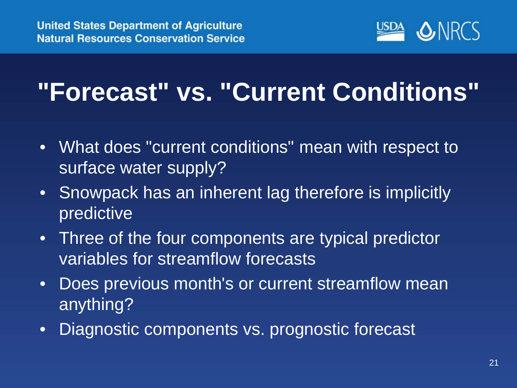

## **"Forecast" vs. "Current Conditions"**

- What does "current conditions" mean with respect to surface water supply?
- Snowpack has an inherent lag therefore is implicitly predictive
- Three of the four components are typical predictor variables for streamflow forecasts
- Does previous month's or current streamflow mean anything?
- Diagnostic components vs. prognostic forecast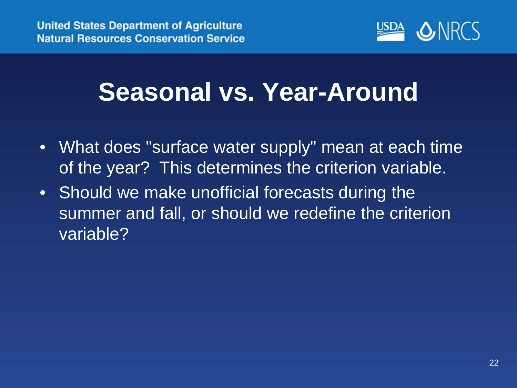

### **Seasonal vs. Year-Around**

- What does "surface water supply" mean at each time of the year? This determines the criterion variable.
- Should we make unofficial forecasts during the summer and fall, or should we redefine the criterion variable?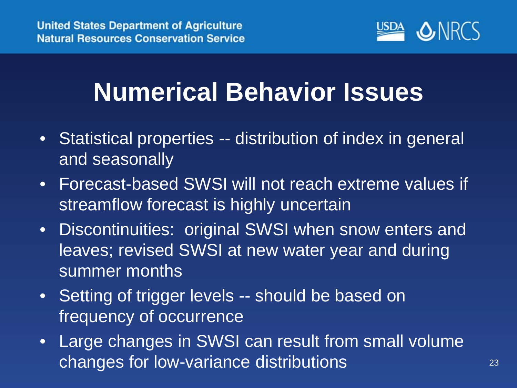

## **Numerical Behavior Issues**

- Statistical properties -- distribution of index in general and seasonally
- Forecast-based SWSI will not reach extreme values if streamflow forecast is highly uncertain
- Discontinuities: original SWSI when snow enters and leaves; revised SWSI at new water year and during summer months
- Setting of trigger levels -- should be based on frequency of occurrence
- Large changes in SWSI can result from small volume changes for low-variance distributions **23** 23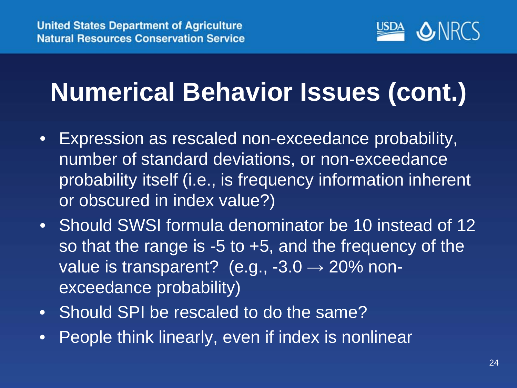

## **Numerical Behavior Issues (cont.)**

- Expression as rescaled non-exceedance probability, number of standard deviations, or non-exceedance probability itself (i.e., is frequency information inherent or obscured in index value?)
- Should SWSI formula denominator be 10 instead of 12 so that the range is  $-5$  to  $+5$ , and the frequency of the value is transparent? (e.g.,  $-3.0 \rightarrow 20\%$  nonexceedance probability)
- Should SPI be rescaled to do the same?
- People think linearly, even if index is nonlinear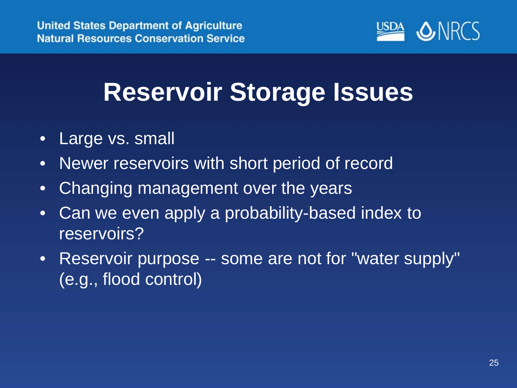

### **Reservoir Storage Issues**

- Large vs. small
- Newer reservoirs with short period of record
- Changing management over the years
- Can we even apply a probability-based index to reservoirs?
- Reservoir purpose -- some are not for "water supply" (e.g., flood control)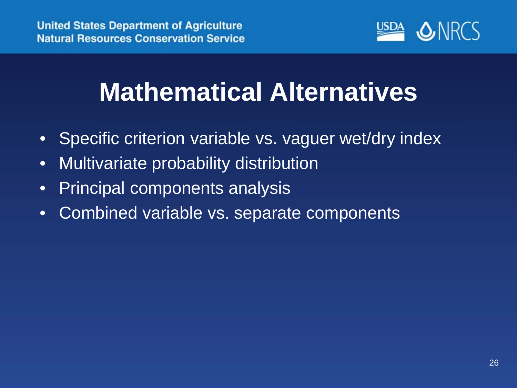

## **Mathematical Alternatives**

- Specific criterion variable vs. vaguer wet/dry index
- Multivariate probability distribution
- Principal components analysis
- Combined variable vs. separate components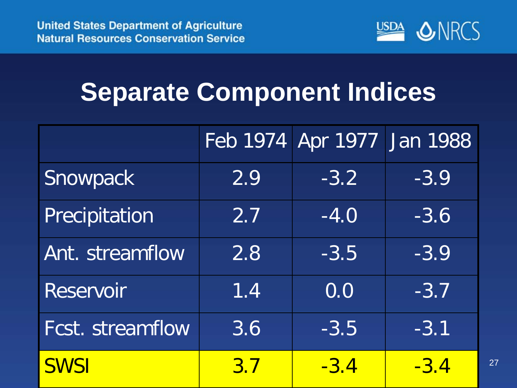

### **Separate Component Indices**

|                         |            | Feb 1974 Apr 1977 | Jan 1988 |    |
|-------------------------|------------|-------------------|----------|----|
| Snowpack                | 2.9        | $-3.2$            | $-3.9$   |    |
| Precipitation           | 2.7        | $-4.0$            | $-3.6$   |    |
| Ant. streamflow         | 2.8        | $-3.5$            | $-3.9$   |    |
| <b>Reservoir</b>        | 1.4        | 0.0               | $-3.7$   |    |
| <b>Fcst. streamflow</b> | 3.6        | $-3.5$            | $-3.1$   |    |
| <b>SWSI</b>             | <u>3.7</u> | $-3.4$            | $-3.4$   | 27 |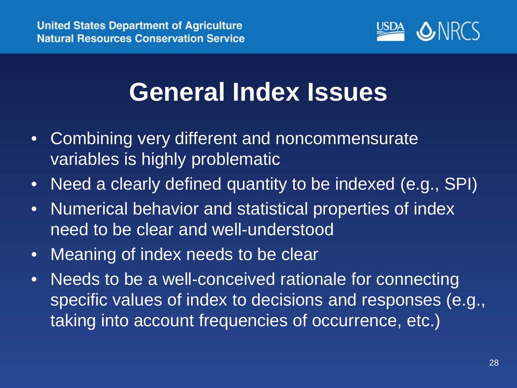

#### **General Index Issues**

- Combining very different and noncommensurate variables is highly problematic
- Need a clearly defined quantity to be indexed (e.g., SPI)
- Numerical behavior and statistical properties of index need to be clear and well-understood
- Meaning of index needs to be clear
- Needs to be a well-conceived rationale for connecting specific values of index to decisions and responses (e.g., taking into account frequencies of occurrence, etc.)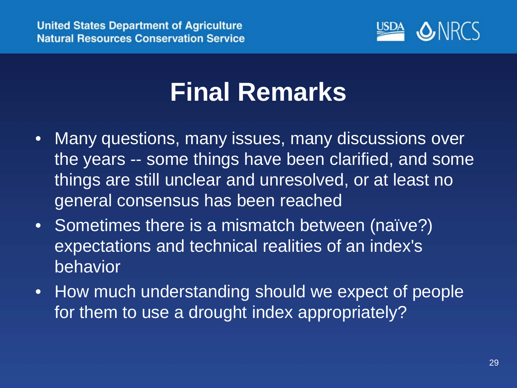

#### **Final Remarks**

- Many questions, many issues, many discussions over the years -- some things have been clarified, and some things are still unclear and unresolved, or at least no general consensus has been reached
- Sometimes there is a mismatch between (naïve?) expectations and technical realities of an index's behavior
- How much understanding should we expect of people for them to use a drought index appropriately?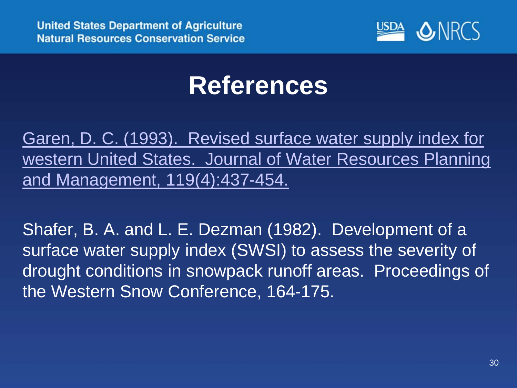

#### **References**

[Garen, D. C. \(1993\). Revised surface water supply index for](http://www.wcc.nrcs.usda.gov/ftpref/downloads/factpub/wsf/Garen_JWRPM_1993.pdf)  [western United States. Journal of Water Resources Planning](http://www.wcc.nrcs.usda.gov/ftpref/downloads/factpub/wsf/Garen_JWRPM_1993.pdf)  [and Management, 119\(4\):437-454.](http://www.wcc.nrcs.usda.gov/ftpref/downloads/factpub/wsf/Garen_JWRPM_1993.pdf)

Shafer, B. A. and L. E. Dezman (1982). Development of a surface water supply index (SWSI) to assess the severity of drought conditions in snowpack runoff areas. Proceedings of the Western Snow Conference, 164-175.